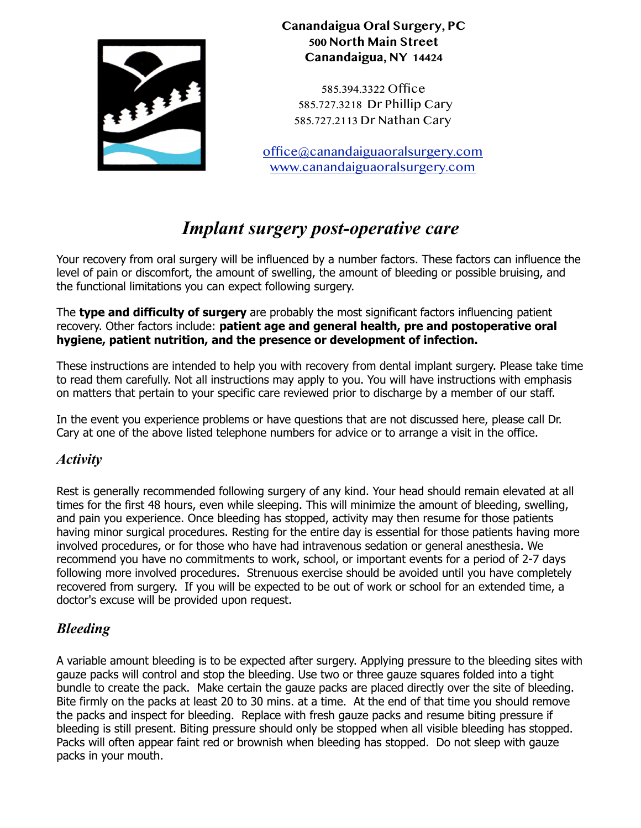

## **Canandaigua Oral Surgery, PC 500 North Main Street Canandaigua, NY 14424**

585.394.3322 Office 585.727.3218 Dr Phillip Cary 585.727.2113 Dr Nathan Cary

[office@canandaiguaoralsurgery.com](mailto:office@canandaiguaoralsurgery.com) [www.canandaiguaoralsurgery.com](http://www.canandaiguaoralsurgery.com)

# *Implant surgery post-operative care*

Your recovery from oral surgery will be influenced by a number factors. These factors can influence the level of pain or discomfort, the amount of swelling, the amount of bleeding or possible bruising, and the functional limitations you can expect following surgery.

The **type and difficulty of surgery** are probably the most significant factors influencing patient recovery. Other factors include: **patient age and general health, pre and postoperative oral hygiene, patient nutrition, and the presence or development of infection.**

These instructions are intended to help you with recovery from dental implant surgery. Please take time to read them carefully. Not all instructions may apply to you. You will have instructions with emphasis on matters that pertain to your specific care reviewed prior to discharge by a member of our staff.

In the event you experience problems or have questions that are not discussed here, please call Dr. Cary at one of the above listed telephone numbers for advice or to arrange a visit in the office.

## *Activity*

Rest is generally recommended following surgery of any kind. Your head should remain elevated at all times for the first 48 hours, even while sleeping. This will minimize the amount of bleeding, swelling, and pain you experience. Once bleeding has stopped, activity may then resume for those patients having minor surgical procedures. Resting for the entire day is essential for those patients having more involved procedures, or for those who have had intravenous sedation or general anesthesia. We recommend you have no commitments to work, school, or important events for a period of 2-7 days following more involved procedures. Strenuous exercise should be avoided until you have completely recovered from surgery. If you will be expected to be out of work or school for an extended time, a doctor's excuse will be provided upon request.

# *Bleeding*

A variable amount bleeding is to be expected after surgery. Applying pressure to the bleeding sites with gauze packs will control and stop the bleeding. Use two or three gauze squares folded into a tight bundle to create the pack. Make certain the gauze packs are placed directly over the site of bleeding. Bite firmly on the packs at least 20 to 30 mins. at a time. At the end of that time you should remove the packs and inspect for bleeding. Replace with fresh gauze packs and resume biting pressure if bleeding is still present. Biting pressure should only be stopped when all visible bleeding has stopped. Packs will often appear faint red or brownish when bleeding has stopped. Do not sleep with gauze packs in your mouth.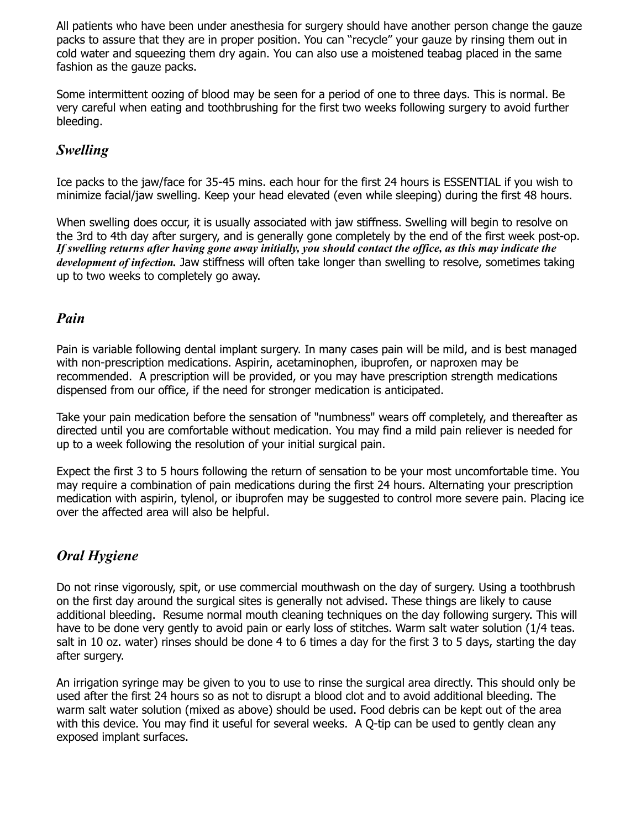All patients who have been under anesthesia for surgery should have another person change the gauze packs to assure that they are in proper position. You can "recycle" your gauze by rinsing them out in cold water and squeezing them dry again. You can also use a moistened teabag placed in the same fashion as the gauze packs.

Some intermittent oozing of blood may be seen for a period of one to three days. This is normal. Be very careful when eating and toothbrushing for the first two weeks following surgery to avoid further bleeding.

## *Swelling*

Ice packs to the jaw/face for 35-45 mins. each hour for the first 24 hours is ESSENTIAL if you wish to minimize facial/jaw swelling. Keep your head elevated (even while sleeping) during the first 48 hours.

When swelling does occur, it is usually associated with jaw stiffness. Swelling will begin to resolve on the 3rd to 4th day after surgery, and is generally gone completely by the end of the first week post-op. *If swelling returns after having gone away initially, you should contact the office, as this may indicate the development of infection.* Jaw stiffness will often take longer than swelling to resolve, sometimes taking up to two weeks to completely go away.

## *Pain*

Pain is variable following dental implant surgery. In many cases pain will be mild, and is best managed with non-prescription medications. Aspirin, acetaminophen, ibuprofen, or naproxen may be recommended. A prescription will be provided, or you may have prescription strength medications dispensed from our office, if the need for stronger medication is anticipated.

Take your pain medication before the sensation of "numbness" wears off completely, and thereafter as directed until you are comfortable without medication. You may find a mild pain reliever is needed for up to a week following the resolution of your initial surgical pain.

Expect the first 3 to 5 hours following the return of sensation to be your most uncomfortable time. You may require a combination of pain medications during the first 24 hours. Alternating your prescription medication with aspirin, tylenol, or ibuprofen may be suggested to control more severe pain. Placing ice over the affected area will also be helpful.

## *Oral Hygiene*

Do not rinse vigorously, spit, or use commercial mouthwash on the day of surgery. Using a toothbrush on the first day around the surgical sites is generally not advised. These things are likely to cause additional bleeding. Resume normal mouth cleaning techniques on the day following surgery. This will have to be done very gently to avoid pain or early loss of stitches. Warm salt water solution (1/4 teas. salt in 10 oz. water) rinses should be done 4 to 6 times a day for the first 3 to 5 days, starting the day after surgery.

An irrigation syringe may be given to you to use to rinse the surgical area directly. This should only be used after the first 24 hours so as not to disrupt a blood clot and to avoid additional bleeding. The warm salt water solution (mixed as above) should be used. Food debris can be kept out of the area with this device. You may find it useful for several weeks. A Q-tip can be used to gently clean any exposed implant surfaces.